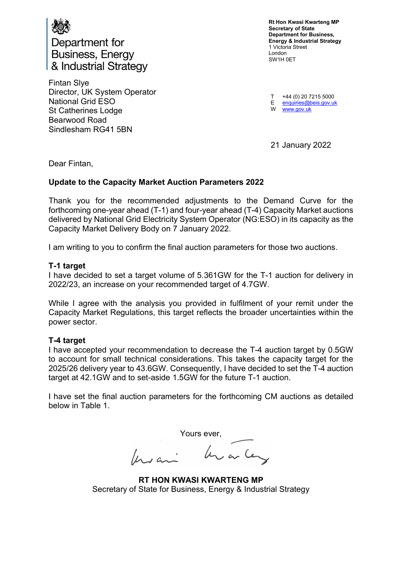

Department for **Business, Energy** & Industrial Strategy

 Fintan Slye Director, UK System Operator National Grid ESO St Catherines Lodge Bearwood Road Sindlesham RG41 5BN

 Rt Hon Kwasi Kwarteng MP Secretary of State Department for Business, Energy & Industrial Strategy 1 Victoria Street London SW1H 0ET

l, Ĺ T +44 (0) 20 7215 5000 E enquiries@beis.gov.uk

W <www.gov.uk>

21 January 2022

Dear Fintan,

## Update to the Capacity Market Auction Parameters 2022

 Thank you for the recommended adjustments to the Demand Curve for the forthcoming one-year ahead (T-1) and four-year ahead (T-4) Capacity Market auctions delivered by National Grid Electricity System Operator (NG:ESO) in its capacity as the Capacity Market Delivery Body on 7 January 2022.

I am writing to you to confirm the final auction parameters for those two auctions.

## T-1 target

 I have decided to set a target volume of 5.361GW for the T-1 auction for delivery in 2022/23, an increase on your recommended target of 4.7GW.

 While I agree with the analysis you provided in fulfilment of your remit under the Capacity Market Regulations, this target reflects the broader uncertainties within the power sector.

## T-4 target

 I have accepted your recommendation to decrease the T-4 auction target by 0.5GW to account for small technical considerations. This takes the capacity target for the 2025/26 delivery year to 43.6GW. Consequently, I have decided to set the T-4 auction target at 42.1GW and to set-aside 1.5GW for the future T-1 auction.

 I have set the final auction parameters for the forthcoming CM auctions as detailed below in Table 1.

Yours ever,

 RT HON KWASI KWARTENG MP Secretary of State for Business, Energy & Industrial Strategy